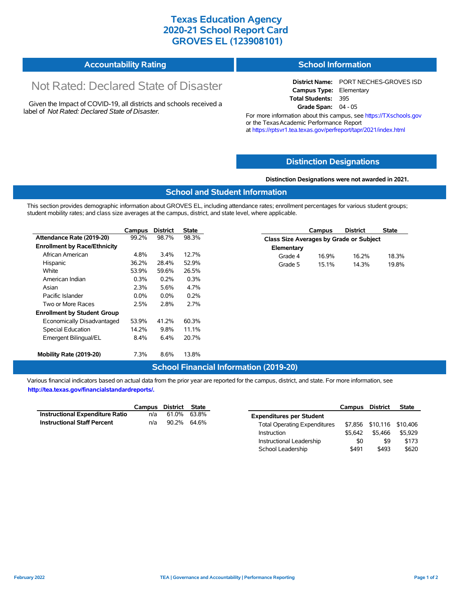### **Texas Education Agency 2020-21 School Report Card GROVES EL (123908101)**

| <b>Accountability Rating</b> | <b>School Information</b> |
|------------------------------|---------------------------|
|------------------------------|---------------------------|

# Not Rated: Declared State of Disaster

Given the Impact of COVID-19, all districts and schools received a label of *Not Rated: Declared State of Disaster.*

**District Name:** PORT NECHES-GROVES ISD **Campus Type:** Elementary **Total Students:** 395 **Grade Span:** 04 - 05

For more information about this campus, see https://TXschools.gov or the Texas Academic Performance Report at https://rptsvr1.tea.texas.gov/perfreport/tapr/2021/index.html

#### **Distinction Designations**

**Distinction Designations were not awarded in 2021.**

#### **School and Student Information**

This section provides demographic information about GROVES EL, including attendance rates; enrollment percentages for various student groups; student mobility rates; and class size averages at the campus, district, and state level, where applicable.

|                                     | Campus  | <b>District</b> | <b>State</b> | <b>District</b><br><b>State</b><br>Campus |
|-------------------------------------|---------|-----------------|--------------|-------------------------------------------|
| Attendance Rate (2019-20)           | 99.2%   | 98.7%           | 98.3%        | Class Size Averages by Grade or Subject   |
| <b>Enrollment by Race/Ethnicity</b> |         |                 |              | Elementary                                |
| African American                    | 4.8%    | 3.4%            | 12.7%        | 16.9%<br>16.2%<br>18.3%<br>Grade 4        |
| Hispanic                            | 36.2%   | 28.4%           | 52.9%        | 14.3%<br>19.8%<br>Grade 5<br>15.1%        |
| White                               | 53.9%   | 59.6%           | 26.5%        |                                           |
| American Indian                     | 0.3%    | 0.2%            | 0.3%         |                                           |
| Asian                               | 2.3%    | 5.6%            | 4.7%         |                                           |
| Pacific Islander                    | $0.0\%$ | $0.0\%$         | 0.2%         |                                           |
| Two or More Races                   | 2.5%    | 2.8%            | 2.7%         |                                           |
| <b>Enrollment by Student Group</b>  |         |                 |              |                                           |
| Economically Disadvantaged          | 53.9%   | 41.2%           | 60.3%        |                                           |
| Special Education                   | 14.2%   | 9.8%            | 11.1%        |                                           |
| Emergent Bilingual/EL               | $8.4\%$ | 6.4%            | 20.7%        |                                           |
| Mobility Rate (2019-20)             | 7.3%    | 8.6%            | 13.8%        |                                           |

#### **School Financial Information (2019-20)**

Various financial indicators based on actual data from the prior year are reported for the campus, district, and state. For more information, see **http://tea.texas.gov/financialstandardreports/.**

|                                        | Campus District State |             |  |
|----------------------------------------|-----------------------|-------------|--|
| <b>Instructional Expenditure Ratio</b> | n/a                   | 61.0% 63.8% |  |
| <b>Instructional Staff Percent</b>     | n/a                   | 90.2% 64.6% |  |

|                                     | <b>Campus</b> | District | State    |
|-------------------------------------|---------------|----------|----------|
| <b>Expenditures per Student</b>     |               |          |          |
| <b>Total Operating Expenditures</b> | \$7.856       | \$10,116 | \$10,406 |
| Instruction                         | \$5.642       | \$5.466  | \$5.929  |
| Instructional Leadership            | \$0           | \$9      | \$173    |
| School Leadership                   | \$491         | \$493    | \$620    |